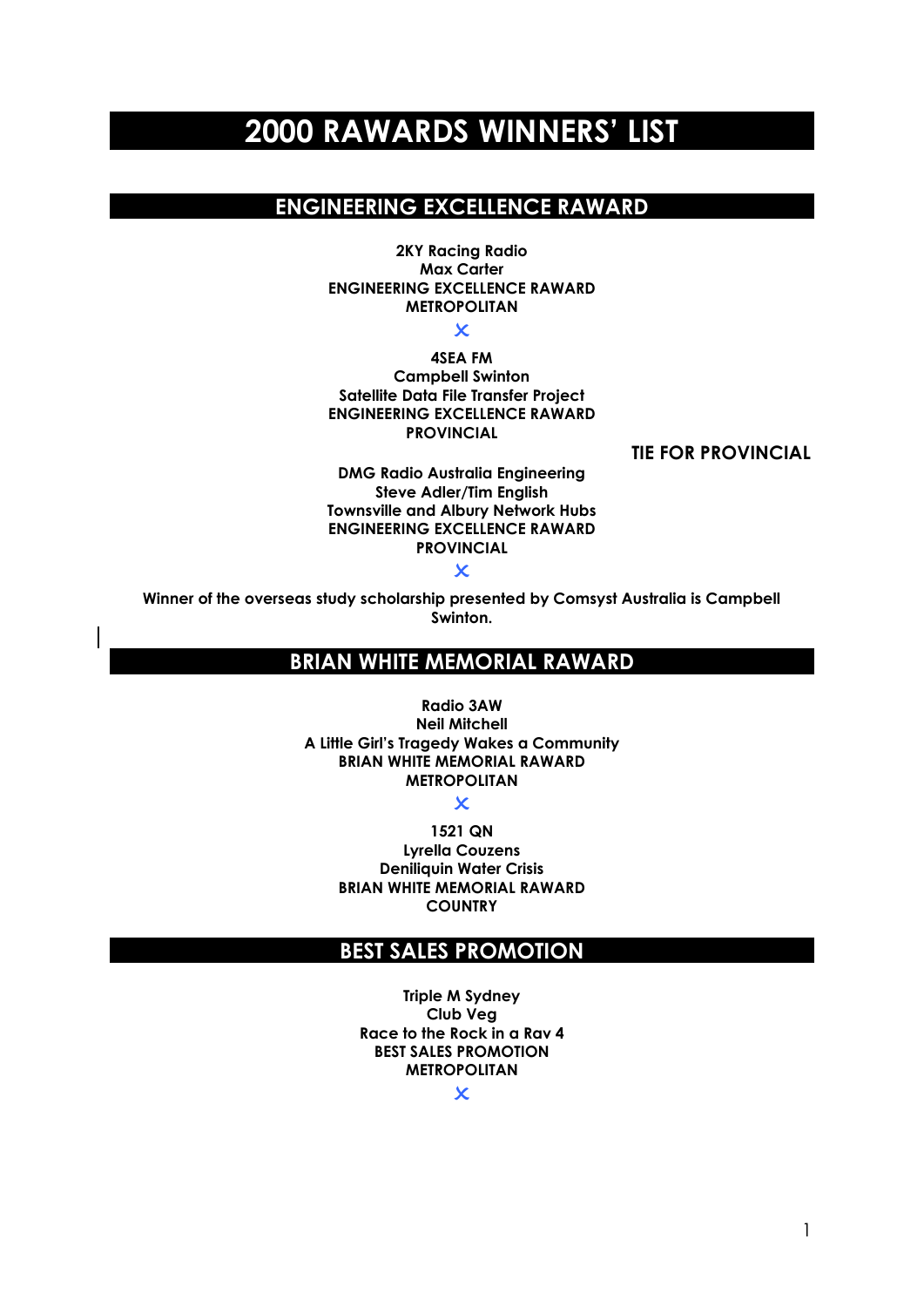# **2000 RAWARDS WINNERS' LIST**

# **ENGINEERING EXCELLENCE RAWARD**

**2KY Racing Radio Max Carter ENGINEERING EXCELLENCE RAWARD METROPOLITAN**

 $\overline{\mathsf{x}}$ 

**4SEA FM Campbell Swinton Satellite Data File Transfer Project ENGINEERING EXCELLENCE RAWARD PROVINCIAL**

 **TIE FOR PROVINCIAL**

**DMG Radio Australia Engineering Steve Adler/Tim English Townsville and Albury Network Hubs ENGINEERING EXCELLENCE RAWARD PROVINCIAL**

#### $\mathbf x$

**Winner of the overseas study scholarship presented by Comsyst Australia is Campbell Swinton.**

# **BRIAN WHITE MEMORIAL RAWARD**

**Radio 3AW Neil Mitchell A Little Girl's Tragedy Wakes a Community BRIAN WHITE MEMORIAL RAWARD METROPOLITAN**

 $\overline{\mathbf{x}}$ 

**1521 QN Lyrella Couzens Deniliquin Water Crisis BRIAN WHITE MEMORIAL RAWARD COUNTRY**

### **BEST SALES PROMOTION**

**Triple M Sydney Club Veg Race to the Rock in a Rav 4 BEST SALES PROMOTION METROPOLITAN**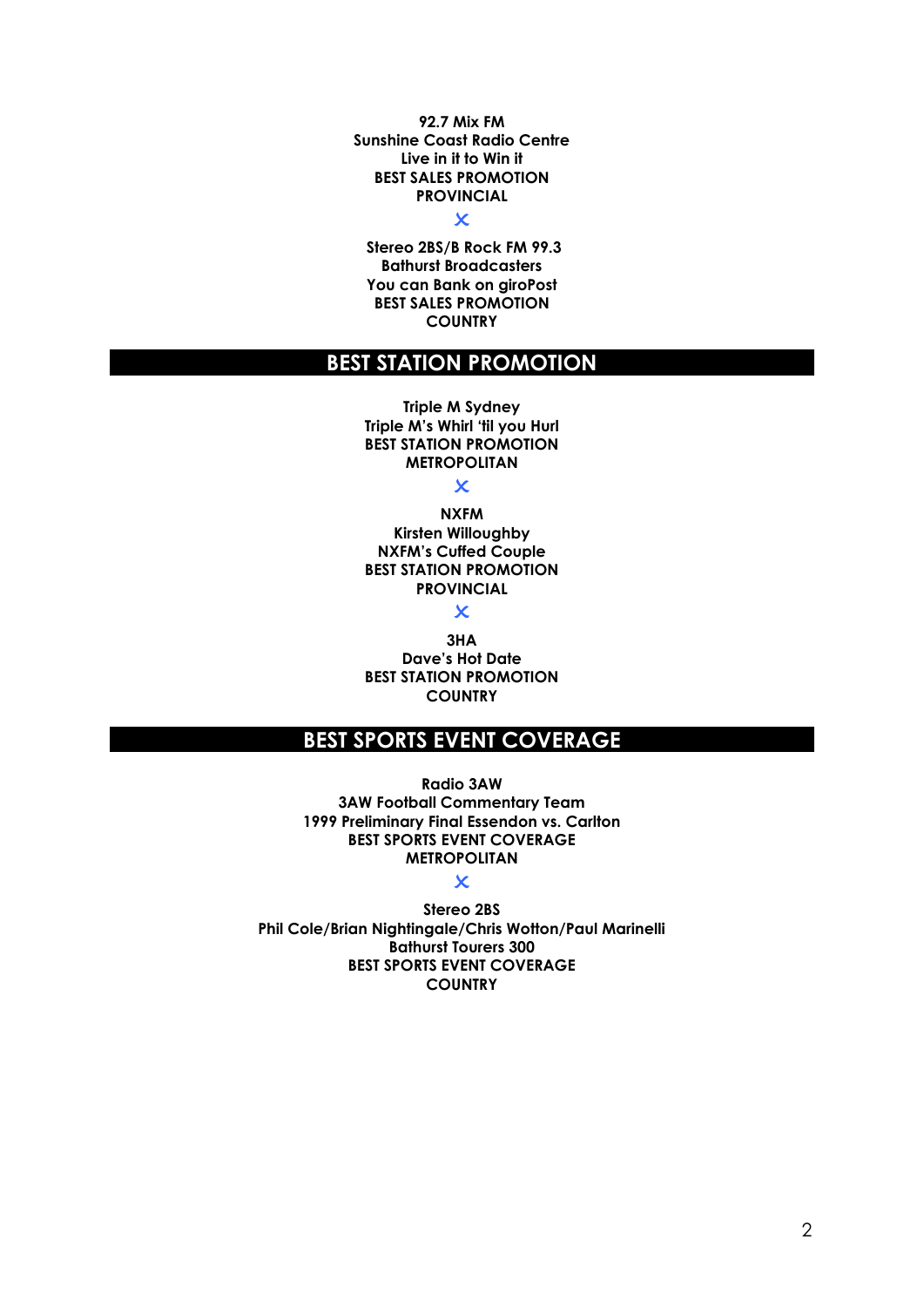**92.7 Mix FM Sunshine Coast Radio Centre Live in it to Win it BEST SALES PROMOTION PROVINCIAL**

### $\overline{\mathbf{x}}$

**Stereo 2BS/B Rock FM 99.3 Bathurst Broadcasters You can Bank on giroPost BEST SALES PROMOTION COUNTRY**

### **BEST STATION PROMOTION**

**Triple M Sydney Triple M's Whirl 'til you Hurl BEST STATION PROMOTION METROPOLITAN**

 $\overline{\mathsf{x}}$ 

**NXFM Kirsten Willoughby NXFM's Cuffed Couple BEST STATION PROMOTION PROVINCIAL**

 $\overline{\mathbf{x}}$ 

**3HA Dave's Hot Date BEST STATION PROMOTION COUNTRY**

# **BEST SPORTS EVENT COVERAGE**

**Radio 3AW 3AW Football Commentary Team 1999 Preliminary Final Essendon vs. Carlton BEST SPORTS EVENT COVERAGE METROPOLITAN**

### $\overline{\mathbf{x}}$

**Stereo 2BS Phil Cole/Brian Nightingale/Chris Wotton/Paul Marinelli Bathurst Tourers 300 BEST SPORTS EVENT COVERAGE COUNTRY**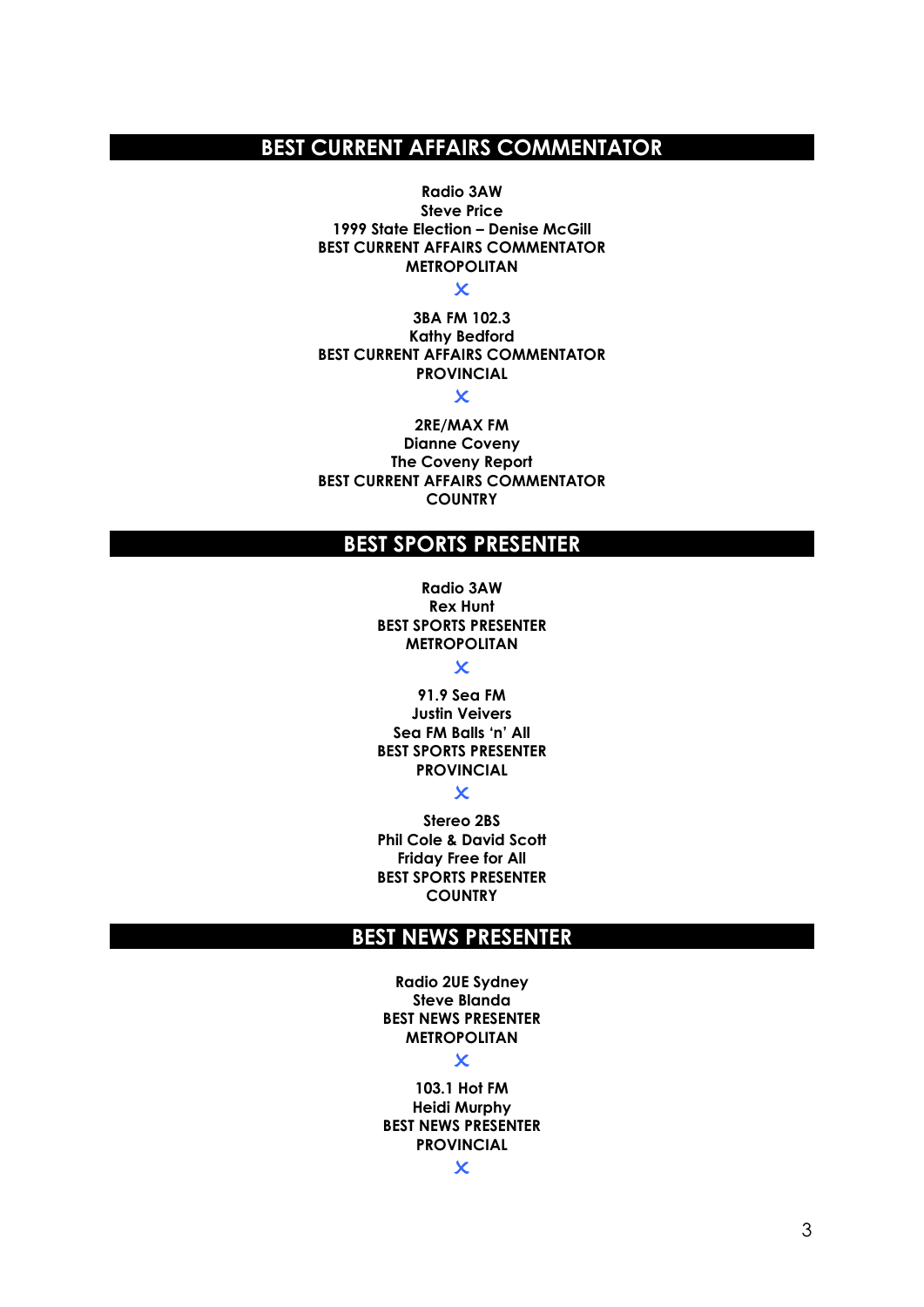# **BEST CURRENT AFFAIRS COMMENTATOR**

**Radio 3AW Steve Price 1999 State Election – Denise McGill BEST CURRENT AFFAIRS COMMENTATOR METROPOLITAN**

 $\overline{\mathbf{x}}$ 

**3BA FM 102.3 Kathy Bedford BEST CURRENT AFFAIRS COMMENTATOR PROVINCIAL**  $\overline{\mathbf{x}}$ 

**2RE/MAX FM Dianne Coveny The Coveny Report BEST CURRENT AFFAIRS COMMENTATOR COUNTRY** 

# **BEST SPORTS PRESENTER**

**Radio 3AW Rex Hunt BEST SPORTS PRESENTER METROPOLITAN**

 $\overline{\mathbf{x}}$ 

**91.9 Sea FM Justin Veivers Sea FM Balls 'n' All BEST SPORTS PRESENTER PROVINCIAL**

 $\overline{\mathbf{x}}$ 

**Stereo 2BS Phil Cole & David Scott Friday Free for All BEST SPORTS PRESENTER COUNTRY**

### **BEST NEWS PRESENTER**

**Radio 2UE Sydney Steve Blanda BEST NEWS PRESENTER METROPOLITAN**

#### $\overline{\mathsf{x}}$

**103.1 Hot FM Heidi Murphy BEST NEWS PRESENTER PROVINCIAL**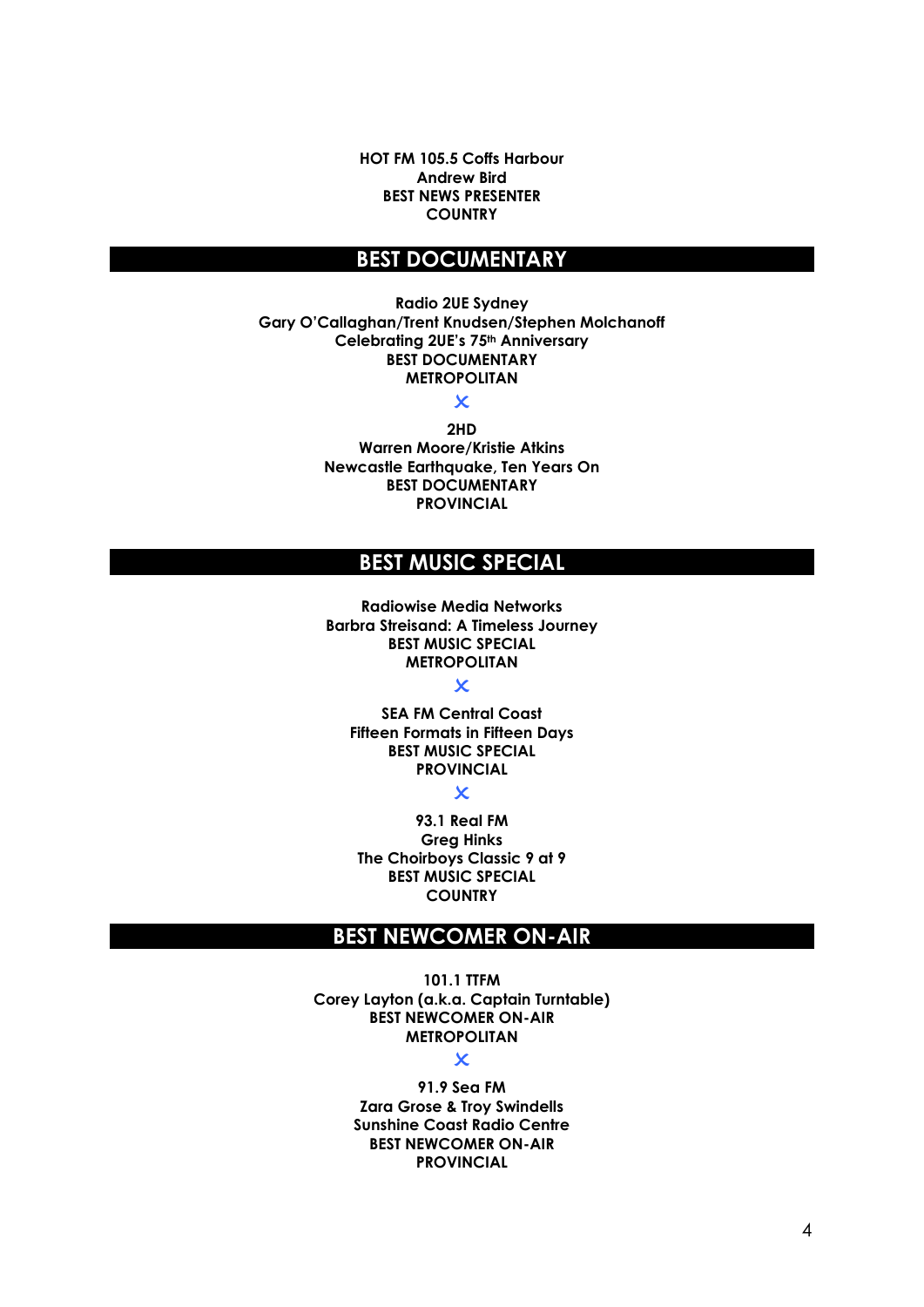**HOT FM 105.5 Coffs Harbour Andrew Bird BEST NEWS PRESENTER COUNTRY**

### **BEST DOCUMENTARY**

**Radio 2UE Sydney Gary O'Callaghan/Trent Knudsen/Stephen Molchanoff Celebrating 2UE's 75th Anniversary BEST DOCUMENTARY METROPOLITAN**

> $\overline{\mathbf{x}}$ **2HD**

**Warren Moore/Kristie Atkins Newcastle Earthquake, Ten Years On BEST DOCUMENTARY PROVINCIAL**

# **BEST MUSIC SPECIAL**

**Radiowise Media Networks Barbra Streisand: A Timeless Journey BEST MUSIC SPECIAL METROPOLITAN**

 $\mathbf x$ 

**SEA FM Central Coast Fifteen Formats in Fifteen Days BEST MUSIC SPECIAL PROVINCIAL**

 $\mathbf x$ 

**93.1 Real FM Greg Hinks The Choirboys Classic 9 at 9 BEST MUSIC SPECIAL COUNTRY**

# **BEST NEWCOMER ON-AIR**

**101.1 TTFM Corey Layton (a.k.a. Captain Turntable) BEST NEWCOMER ON-AIR METROPOLITAN**

 $\boldsymbol{\mathsf{x}}$ 

**91.9 Sea FM Zara Grose & Troy Swindells Sunshine Coast Radio Centre BEST NEWCOMER ON-AIR PROVINCIAL**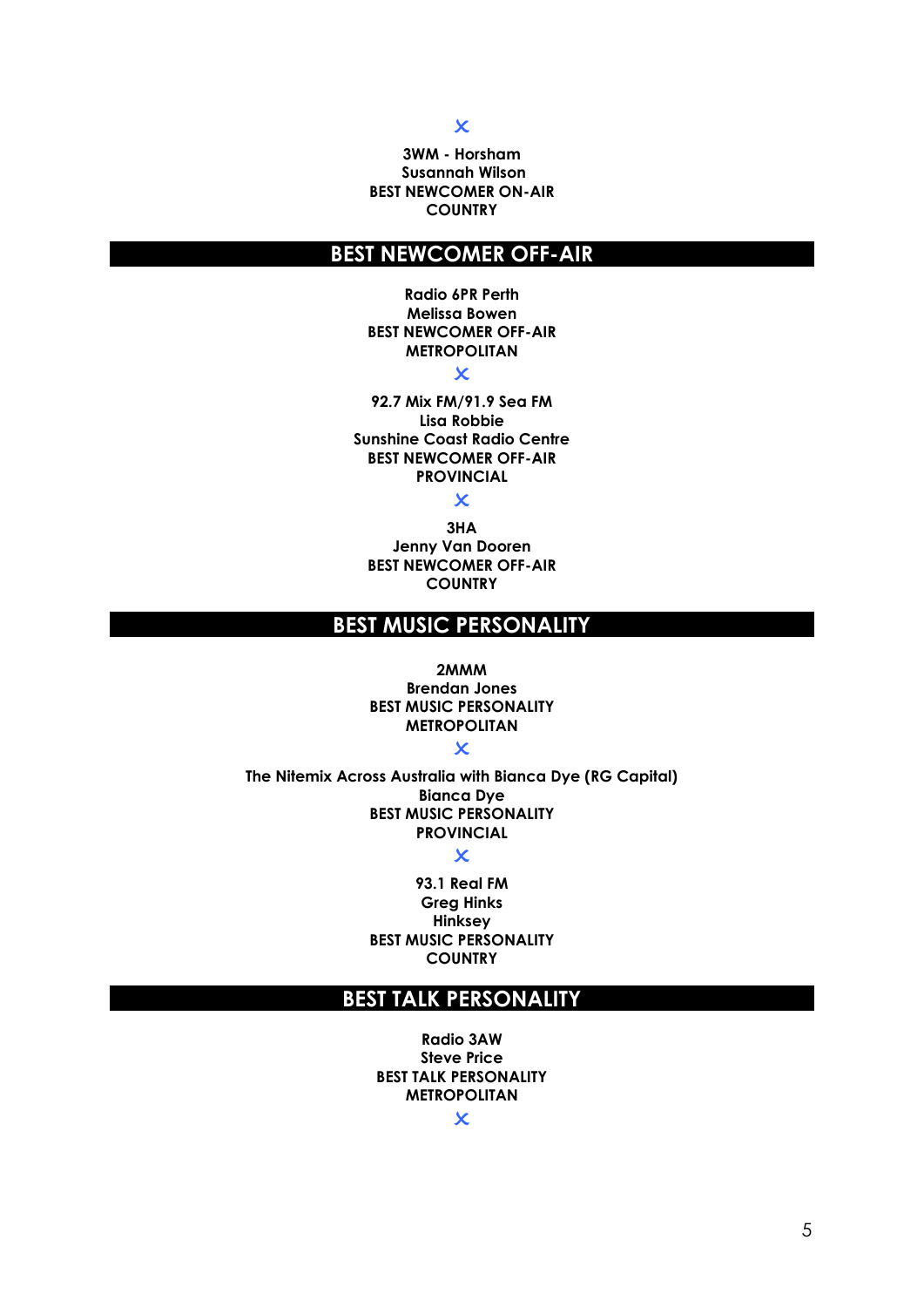#### $\overline{\mathsf{x}}$

#### **3WM - Horsham Susannah Wilson BEST NEWCOMER ON-AIR COUNTRY**

# **BEST NEWCOMER OFF-AIR**

**Radio 6PR Perth Melissa Bowen BEST NEWCOMER OFF-AIR METROPOLITAN**

### $\overline{\mathbf{x}}$

**92.7 Mix FM/91.9 Sea FM Lisa Robbie Sunshine Coast Radio Centre BEST NEWCOMER OFF-AIR PROVINCIAL**

### $\overline{\mathsf{x}}$

**3HA Jenny Van Dooren BEST NEWCOMER OFF-AIR COUNTRY**

# **BEST MUSIC PERSONALITY**

**2MMM Brendan Jones BEST MUSIC PERSONALITY METROPOLITAN**

 $\overline{\mathbf{x}}$ 

**The Nitemix Across Australia with Bianca Dye (RG Capital) Bianca Dye BEST MUSIC PERSONALITY PROVINCIAL**

#### $\overline{\mathbf{x}}$

**93.1 Real FM Greg Hinks Hinksey BEST MUSIC PERSONALITY COUNTRY**

### **BEST TALK PERSONALITY**

**Radio 3AW Steve Price BEST TALK PERSONALITY METROPOLITAN**

 $\overline{\mathsf{x}}$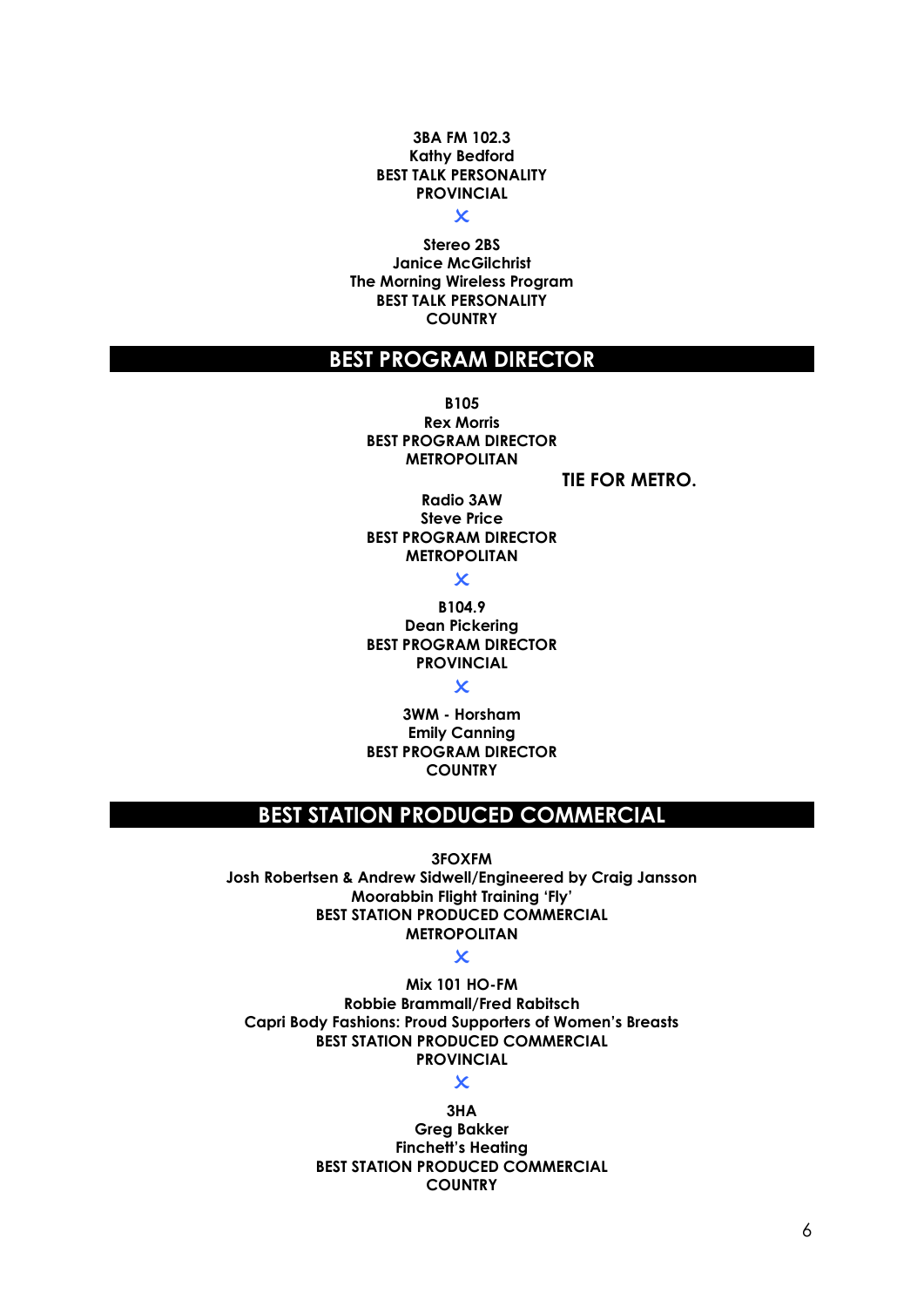#### **3BA FM 102.3 Kathy Bedford BEST TALK PERSONALITY PROVINCIAL**

 $\overline{\mathbf{x}}$ 

**Stereo 2BS Janice McGilchrist The Morning Wireless Program BEST TALK PERSONALITY COUNTRY**

### **BEST PROGRAM DIRECTOR**

**B105 Rex Morris BEST PROGRAM DIRECTOR METROPOLITAN**

**TIE FOR METRO.**

**Radio 3AW Steve Price BEST PROGRAM DIRECTOR METROPOLITAN**

 $\boldsymbol{\mathsf{x}}$ 

**B104.9 Dean Pickering BEST PROGRAM DIRECTOR PROVINCIAL**

 $\overline{\mathbf{x}}$ 

**3WM - Horsham Emily Canning BEST PROGRAM DIRECTOR COUNTRY**

### **BEST STATION PRODUCED COMMERCIAL**

**3FOXFM**

**Josh Robertsen & Andrew Sidwell/Engineered by Craig Jansson Moorabbin Flight Training 'Fly' BEST STATION PRODUCED COMMERCIAL METROPOLITAN**

 $\overline{\mathbf{x}}$ 

**Mix 101 HO-FM Robbie Brammall/Fred Rabitsch Capri Body Fashions: Proud Supporters of Women's Breasts BEST STATION PRODUCED COMMERCIAL PROVINCIAL**

 $\overline{\mathbf{x}}$ 

**3HA Greg Bakker Finchett's Heating BEST STATION PRODUCED COMMERCIAL COUNTRY**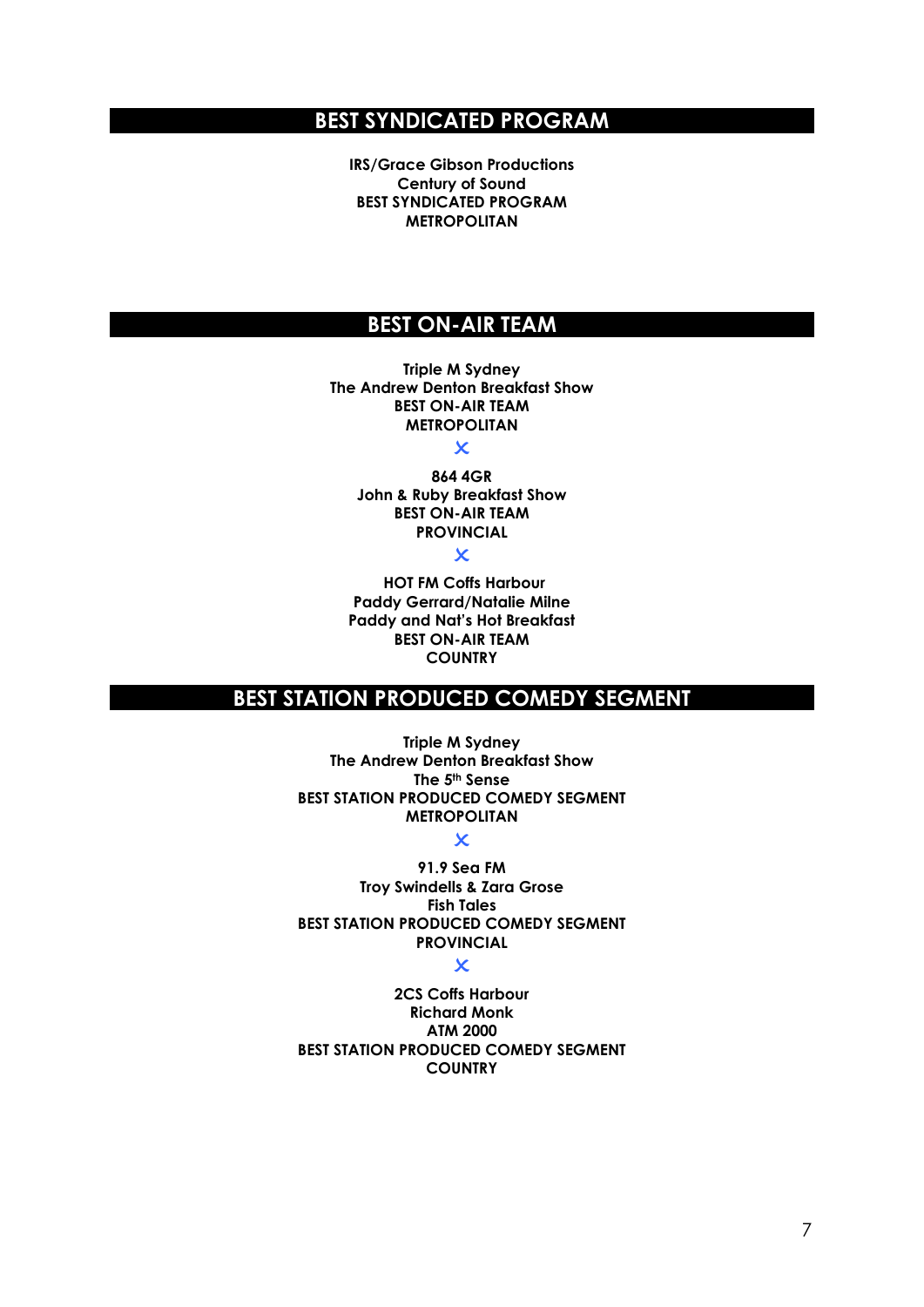# **BEST SYNDICATED PROGRAM**

**IRS/Grace Gibson Productions Century of Sound BEST SYNDICATED PROGRAM METROPOLITAN** 

# **BEST ON-AIR TEAM**

**Triple M Sydney The Andrew Denton Breakfast Show BEST ON-AIR TEAM METROPOLITAN**

 $\overline{\mathsf{x}}$ 

**864 4GR John & Ruby Breakfast Show BEST ON-AIR TEAM PROVINCIAL**

 $\overline{\mathbf{x}}$ 

**HOT FM Coffs Harbour Paddy Gerrard/Natalie Milne Paddy and Nat's Hot Breakfast BEST ON-AIR TEAM COUNTRY**

# **BEST STATION PRODUCED COMEDY SEGMENT**

**Triple M Sydney The Andrew Denton Breakfast Show The 5th Sense BEST STATION PRODUCED COMEDY SEGMENT METROPOLITAN**

### $\overline{\mathbf{x}}$

**91.9 Sea FM Troy Swindells & Zara Grose Fish Tales BEST STATION PRODUCED COMEDY SEGMENT PROVINCIAL**

 $\overline{\mathbf{x}}$ 

**2CS Coffs Harbour Richard Monk ATM 2000 BEST STATION PRODUCED COMEDY SEGMENT COUNTRY**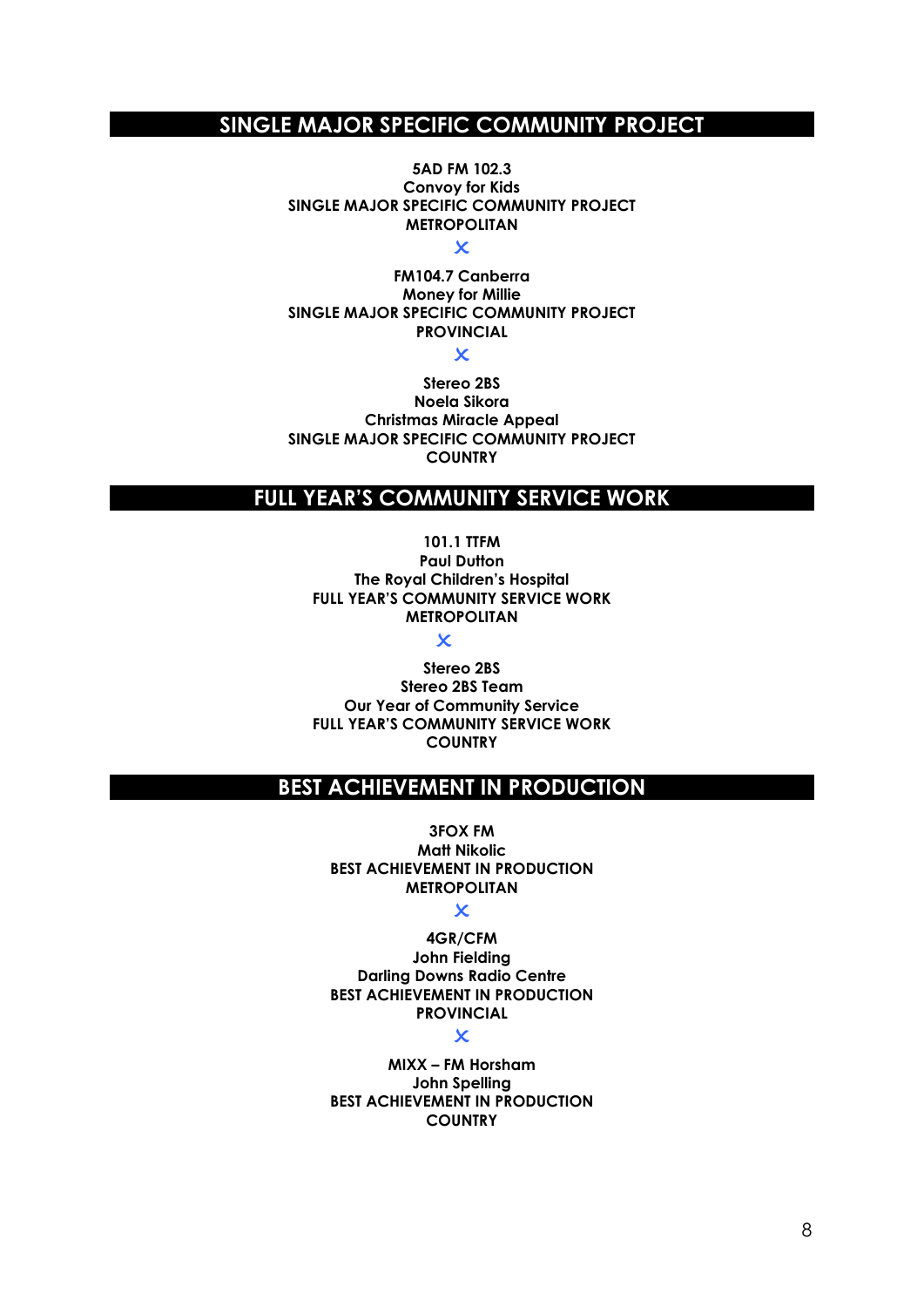# **SINGLE MAJOR SPECIFIC COMMUNITY PROJECT**

**5AD FM 102.3 Convoy for Kids SINGLE MAJOR SPECIFIC COMMUNITY PROJECT METROPOLITAN**

 $\overline{\mathbf{x}}$ 

**FM104.7 Canberra Money for Millie SINGLE MAJOR SPECIFIC COMMUNITY PROJECT PROVINCIAL**

 $\mathbf x$ 

**Stereo 2BS Noela Sikora Christmas Miracle Appeal SINGLE MAJOR SPECIFIC COMMUNITY PROJECT COUNTRY**

# **FULL YEAR'S COMMUNITY SERVICE WORK**

**101.1 TTFM Paul Dutton The Royal Children's Hospital FULL YEAR'S COMMUNITY SERVICE WORK METROPOLITAN**

 $\overline{\mathbf{x}}$ 

**Stereo 2BS Stereo 2BS Team Our Year of Community Service FULL YEAR'S COMMUNITY SERVICE WORK COUNTRY**

### **BEST ACHIEVEMENT IN PRODUCTION**

**3FOX FM Matt Nikolic BEST ACHIEVEMENT IN PRODUCTION METROPOLITAN**

#### $\overline{\mathbf{x}}$

**4GR/CFM John Fielding Darling Downs Radio Centre BEST ACHIEVEMENT IN PRODUCTION PROVINCIAL**

#### $\boldsymbol{\mathsf{x}}$

**MIXX – FM Horsham John Spelling BEST ACHIEVEMENT IN PRODUCTION COUNTRY**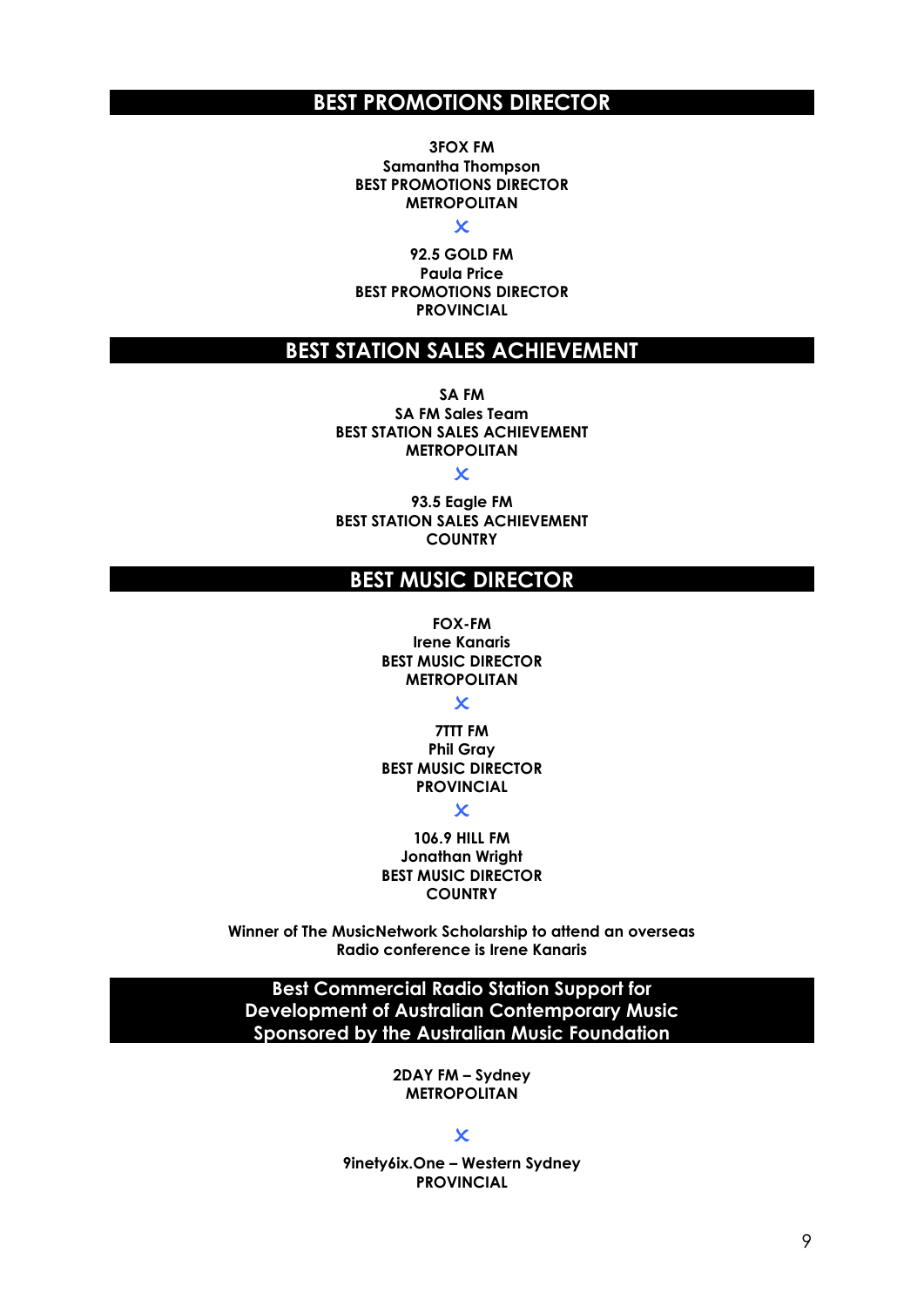### **BEST PROMOTIONS DIRECTOR**

**3FOX FM Samantha Thompson BEST PROMOTIONS DIRECTOR METROPOLITAN**

 $\overline{\mathsf{x}}$ 

**92.5 GOLD FM Paula Price BEST PROMOTIONS DIRECTOR PROVINCIAL**

# **BEST STATION SALES ACHIEVEMENT**

**SA FM SA FM Sales Team BEST STATION SALES ACHIEVEMENT METROPOLITAN**

 $\overline{\mathbf{x}}$ 

**93.5 Eagle FM BEST STATION SALES ACHIEVEMENT COUNTRY**

# **BEST MUSIC DIRECTOR**

**FOX-FM Irene Kanaris BEST MUSIC DIRECTOR METROPOLITAN**

 $\overline{\mathbf{x}}$ 

**7TTT FM Phil Gray BEST MUSIC DIRECTOR PROVINCIAL**

 $\overline{\mathbf{x}}$ 

**106.9 HILL FM Jonathan Wright BEST MUSIC DIRECTOR COUNTRY**

**Winner of The MusicNetwork Scholarship to attend an overseas Radio conference is Irene Kanaris**

**Best Commercial Radio Station Support for Development of Australian Contemporary Music Sponsored by the Australian Music Foundation**

> **2DAY FM – Sydney METROPOLITAN**

> > $\overline{\mathsf{x}}$

**9inety6ix.One – Western Sydney PROVINCIAL**